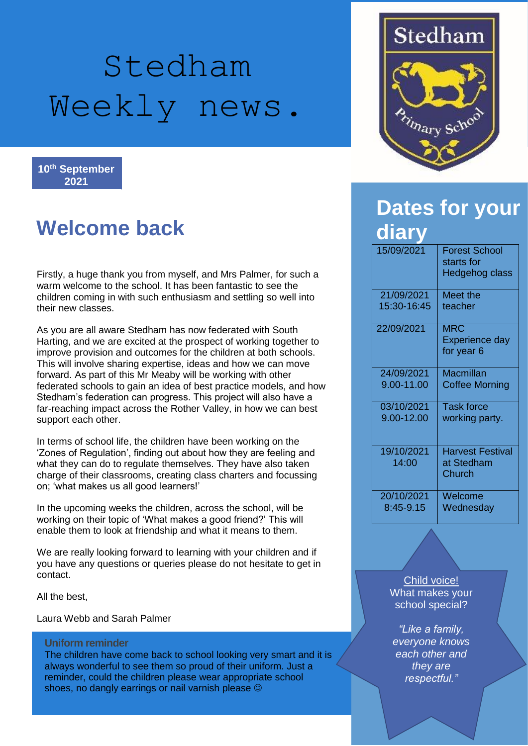# Stedham Weekly news.

**10th September 2021**

## **Welcome back**

Firstly, a huge thank you from myself, and Mrs Palmer, for such a warm welcome to the school. It has been fantastic to see the children coming in with such enthusiasm and settling so well into their new classes.

As you are all aware Stedham has now federated with South Harting, and we are excited at the prospect of working together to improve provision and outcomes for the children at both schools. This will involve sharing expertise, ideas and how we can move forward. As part of this Mr Meaby will be working with other federated schools to gain an idea of best practice models, and how Stedham's federation can progress. This project will also have a far-reaching impact across the Rother Valley, in how we can best support each other.

In terms of school life, the children have been working on the 'Zones of Regulation', finding out about how they are feeling and what they can do to regulate themselves. They have also taken charge of their classrooms, creating class charters and focussing on; 'what makes us all good learners!'

In the upcoming weeks the children, across the school, will be working on their topic of 'What makes a good friend?' This will enable them to look at friendship and what it means to them.

We are really looking forward to learning with your children and if you have any questions or queries please do not hesitate to get in contact.

All the best,

Laura Webb and Sarah Palmer

#### **Uniform reminder**

The children have come back to school looking very smart and it is always wonderful to see them so proud of their uniform. Just a reminder, could the children please wear appropriate school shoes, no dangly earrings or nail varnish please  $\odot$ 



## **Dates for your diary**

| 15/09/2021          | <b>Forest School</b><br>starts for<br>Hedgehog class |
|---------------------|------------------------------------------------------|
| 21/09/2021          | Meet the                                             |
| 15:30-16:45         | teacher                                              |
| 22/09/2021          | <b>MRC</b><br><b>Experience day</b><br>for year 6    |
| 24/09/2021          | Macmillan                                            |
| 9.00-11.00          | <b>Coffee Morning</b>                                |
| 03/10/2021          | <b>Task force</b>                                    |
| 9.00-12.00          | working party.                                       |
| 19/10/2021<br>14:00 | <b>Harvest Festival</b><br>at Stedham<br>Church      |
| 20/10/2021          | Welcome                                              |
| 8:45-9.15           | Wednesday                                            |

#### Child voice! What makes your school special?

*"Like a family, everyone knows each other and they are respectful."*